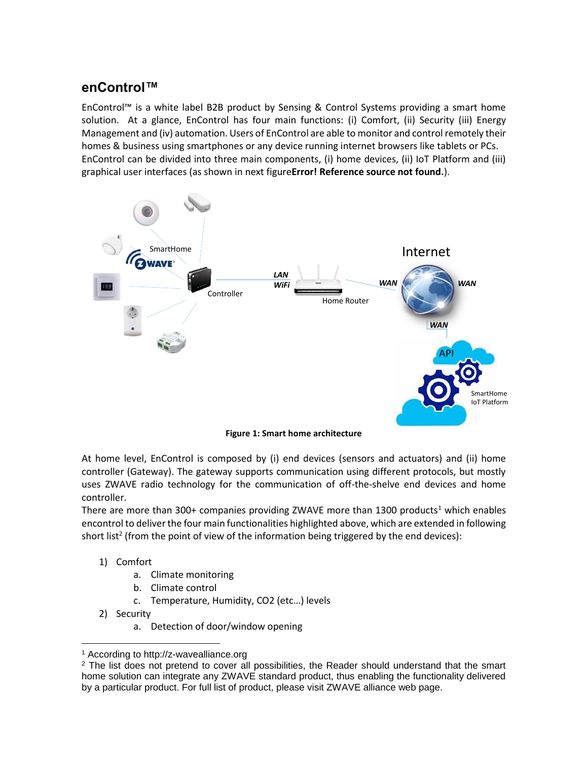## **enControl™**

EnControl™ is a white label B2B product by Sensing & Control Systems providing a smart home solution. At a glance, EnControl has four main functions: (i) Comfort, (ii) Security (iii) Energy Management and (iv) automation. Users of EnControl are able to monitor and control remotely their homes & business using smartphones or any device running internet browsers like tablets or PCs. EnControl can be divided into three main components, (i) home devices, (ii) IoT Platform and (iii) graphical user interfaces (as shown in next figure**Error! Reference source not found.**).



**Figure 1: Smart home architecture**

At home level, EnControl is composed by (i) end devices (sensors and actuators) and (ii) home controller (Gateway). The gateway supports communication using different protocols, but mostly uses ZWAVE radio technology for the communication of off-the-shelve end devices and home controller.

There are more than 300+ companies providing ZWAVE more than 1300 products<sup>1</sup> which enables encontrol to deliver the four main functionalities highlighted above, which are extended in following short list<sup>2</sup> (from the point of view of the information being triggered by the end devices):

- 1) Comfort
	- a. Climate monitoring
	- b. Climate control
	- c. Temperature, Humidity, CO2 (etc…) levels
- 2) Security

 $\overline{a}$ 

a. Detection of door/window opening

<sup>1</sup> According to http://z-wavealliance.org

<sup>&</sup>lt;sup>2</sup> The list does not pretend to cover all possibilities, the Reader should understand that the smart home solution can integrate any ZWAVE standard product, thus enabling the functionality delivered by a particular product. For full list of product, please visit ZWAVE alliance web page.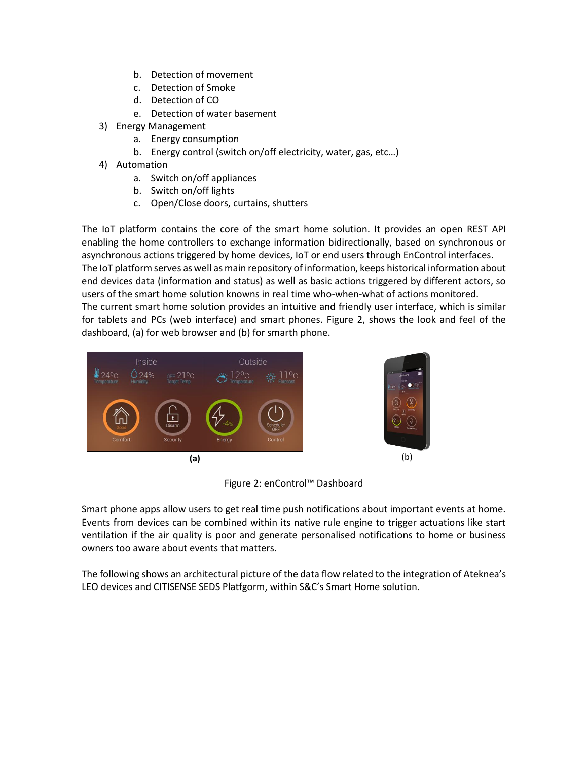- b. Detection of movement
- c. Detection of Smoke
- d. Detection of CO
- e. Detection of water basement
- 3) Energy Management
	- a. Energy consumption
	- b. Energy control (switch on/off electricity, water, gas, etc…)
- 4) Automation
	- a. Switch on/off appliances
	- b. Switch on/off lights
	- c. Open/Close doors, curtains, shutters

The IoT platform contains the core of the smart home solution. It provides an open REST API enabling the home controllers to exchange information bidirectionally, based on synchronous or asynchronous actions triggered by home devices, IoT or end users through EnControl interfaces. The IoT platform serves as well as main repository of information, keeps historical information about end devices data (information and status) as well as basic actions triggered by different actors, so users of the smart home solution knowns in real time who-when-what of actions monitored. The current smart home solution provides an intuitive and friendly user interface, which is similar for tablets and PCs (web interface) and smart phones. [Figure 2,](#page-1-0) shows the look and feel of the dashboard, (a) for web browser and (b) for smarth phone.



Figure 2: enControl™ Dashboard

<span id="page-1-0"></span>Smart phone apps allow users to get real time push notifications about important events at home. Events from devices can be combined within its native rule engine to trigger actuations like start ventilation if the air quality is poor and generate personalised notifications to home or business owners too aware about events that matters.

The following shows an architectural picture of the data flow related to the integration of Ateknea's LEO devices and CITISENSE SEDS Platfgorm, within S&C's Smart Home solution.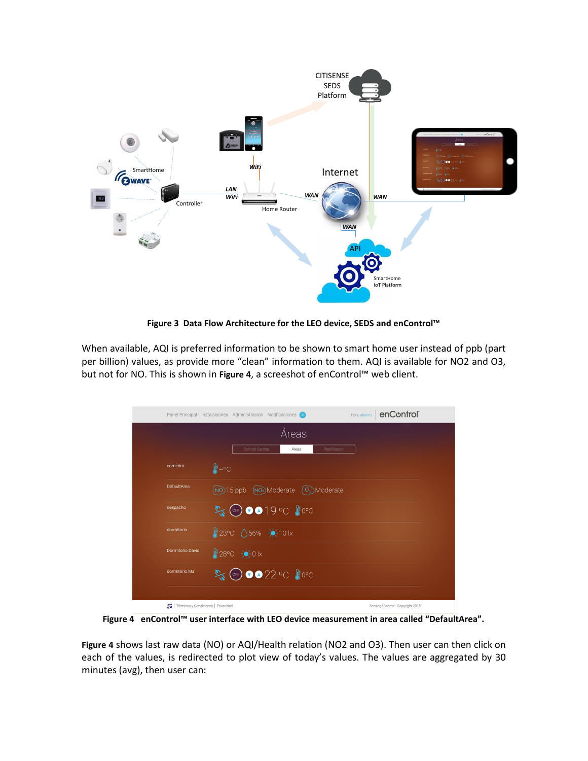

**Figure 3 Data Flow Architecture for the LEO device, SEDS and enControl™**

When available, AQI is preferred information to be shown to smart home user instead of ppb (part per billion) values, as provide more "clean" information to them. AQI is available for NO2 and O3, but not for NO. This is shown in **[Figure 4](#page-2-0)**, a screeshot of enControl™ web client.

|                         | Áreas                                                           |  |
|-------------------------|-----------------------------------------------------------------|--|
|                         | Control Central<br>Áreas<br>Planificador                        |  |
| comedor                 | $\sqrt{1-\circ}$                                                |  |
| DefaultArea             | (NO)15 ppb (NO2) Moderate (O3) Moderate                         |  |
| despacho                | $\sum_{\mathbf{G}}$ (of $\bullet$ $\bullet$ 19 °C $\bullet$ 0°C |  |
| dormitorio              | <b>J</b> 23°C 056% → 10 lx                                      |  |
| <b>Dormitorio David</b> | $828^{\circ}$ C $\div 0 \text{ k}$                              |  |
| dormitorio Ma           | DO 22 °C <i>S</i> 0°C                                           |  |

<span id="page-2-0"></span>**Figure 4 enControl™ user interface with LEO device measurement in area called "DefaultArea".**

**[Figure 4](#page-2-0)** shows last raw data (NO) or AQI/Health relation (NO2 and O3). Then user can then click on each of the values, is redirected to plot view of today's values. The values are aggregated by 30 minutes (avg), then user can: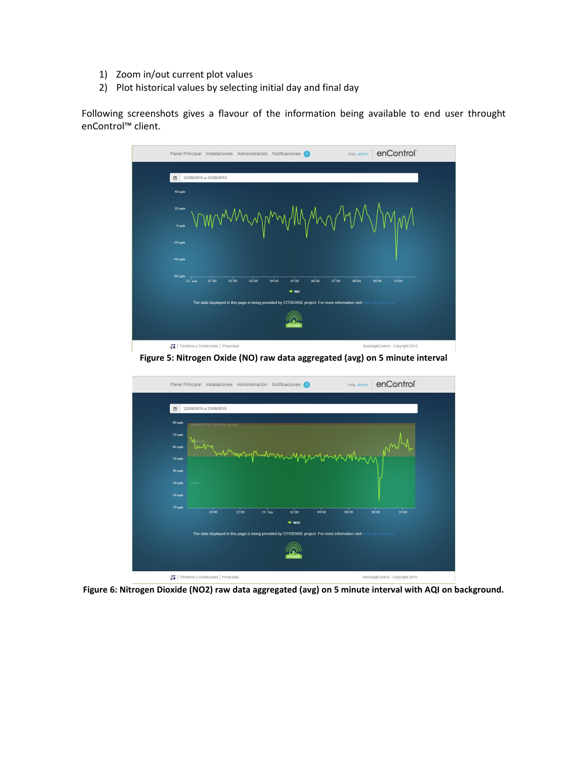- 1) Zoom in/out current plot values
- 2) Plot historical values by selecting initial day and final day

Following screenshots gives a flavour of the information being available to end user throught enControl™ client.

| Panel Principal Instalaciones Administración Notificaciones<br>$\sqrt{3}$                                             | enControl<br>Hola, alberto       |  |  |  |
|-----------------------------------------------------------------------------------------------------------------------|----------------------------------|--|--|--|
| 23/09/2015 a 23/09/2015<br>单                                                                                          |                                  |  |  |  |
| 40 ppb<br>$20$ ppb<br>mmmmmmmmmmn<br>$0$ ppb<br>$-20$ ppb                                                             |                                  |  |  |  |
| $-40$ ppb<br>$-60$ ppb<br>05:00<br>03:00<br>06.00<br>02:00<br>04:00<br>01:00<br>23. Sep<br>$+ NO$                     | 07.00<br>08.00<br>09:00<br>10:00 |  |  |  |
| The data displayed in this page is being provided by CITISENSE project. For more information visit www.citi-sense.eu. |                                  |  |  |  |
| ቚ<br>Términos y Condiciones<br>Privacidad                                                                             | Sensing&Control - Copyright 2015 |  |  |  |

**Figure 5: Nitrogen Oxide (NO) raw data aggregated (avg) on 5 minute interval**



**Figure 6: Nitrogen Dioxide (NO2) raw data aggregated (avg) on 5 minute interval with AQI on background.**